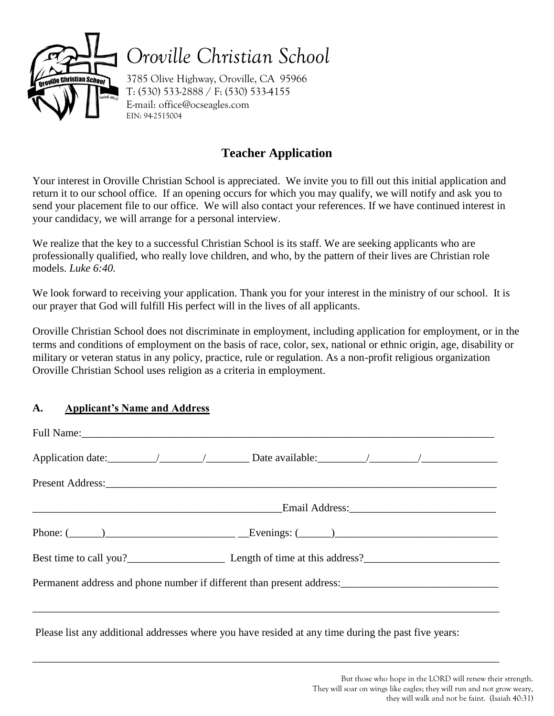

*Oroville Christian School*

3785 Olive Highway, Oroville, CA 95966 T: (530) 533-2888 / F: (530) 533-4155 E-mail: office@ocseagles.com EIN: 94-2515004

# **Teacher Application**

Your interest in Oroville Christian School is appreciated. We invite you to fill out this initial application and return it to our school office. If an opening occurs for which you may qualify, we will notify and ask you to send your placement file to our office. We will also contact your references. If we have continued interest in your candidacy, we will arrange for a personal interview.

We realize that the key to a successful Christian School is its staff. We are seeking applicants who are professionally qualified, who really love children, and who, by the pattern of their lives are Christian role models. *Luke 6:40.*

We look forward to receiving your application. Thank you for your interest in the ministry of our school. It is our prayer that God will fulfill His perfect will in the lives of all applicants.

Oroville Christian School does not discriminate in employment, including application for employment, or in the terms and conditions of employment on the basis of race, color, sex, national or ethnic origin, age, disability or military or veteran status in any policy, practice, rule or regulation. As a non-profit religious organization Oroville Christian School uses religion as a criteria in employment.

## **A. Applicant's Name and Address**

| Present Address: New York Changes and Separate Separate Separate Separate Separate Separate Separate Separate Separate Separate Separate Separate Separate Separate Separate Separate Separate Separate Separate Separate Sepa |  |  |
|--------------------------------------------------------------------------------------------------------------------------------------------------------------------------------------------------------------------------------|--|--|
|                                                                                                                                                                                                                                |  |  |
| Phone: $(\_\_\_\_\_\_\_\_\_\_\_$                                                                                                                                                                                               |  |  |
|                                                                                                                                                                                                                                |  |  |
| Permanent address and phone number if different than present address:<br><u>Fermanent address and phone number if different than present address:</u>                                                                          |  |  |
|                                                                                                                                                                                                                                |  |  |

\_\_\_\_\_\_\_\_\_\_\_\_\_\_\_\_\_\_\_\_\_\_\_\_\_\_\_\_\_\_\_\_\_\_\_\_\_\_\_\_\_\_\_\_\_\_\_\_\_\_\_\_\_\_\_\_\_\_\_\_\_\_\_\_\_\_\_\_\_\_\_\_\_\_\_\_\_\_\_\_\_\_\_\_\_\_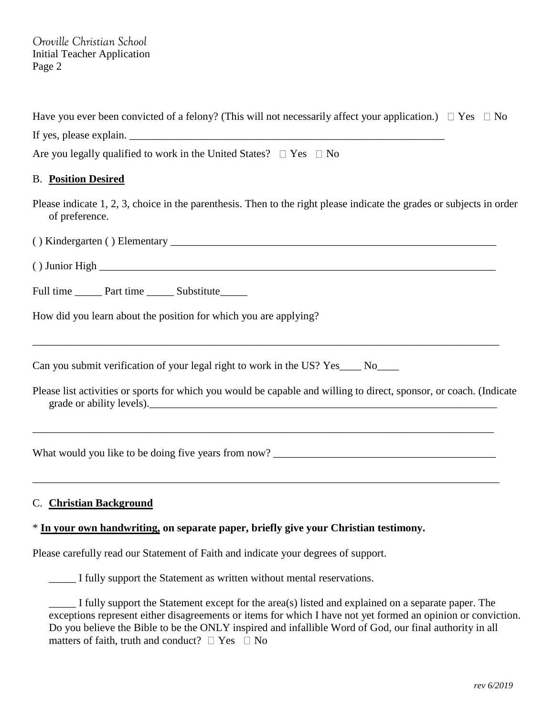Have you ever been convicted of a felony? (This will not necessarily affect your application.)  $\Box$  Yes  $\Box$  No If yes, please explain. \_\_\_\_\_\_\_\_\_\_\_\_\_\_\_\_\_\_\_\_\_\_\_\_\_\_\_\_\_\_\_\_\_\_\_\_\_\_\_\_\_\_\_\_\_\_\_\_\_\_\_\_\_\_\_\_\_\_ Are you legally qualified to work in the United States?  $\Box$  Yes  $\Box$  No B. **Position Desired** Please indicate 1, 2, 3, choice in the parenthesis. Then to the right please indicate the grades or subjects in order of preference.  $( )$  Kindergarten  $( )$  Elementary  $\blacksquare$  $( )$  Junior High  $\Box$ Full time Part time Substitute How did you learn about the position for which you are applying? \_\_\_\_\_\_\_\_\_\_\_\_\_\_\_\_\_\_\_\_\_\_\_\_\_\_\_\_\_\_\_\_\_\_\_\_\_\_\_\_\_\_\_\_\_\_\_\_\_\_\_\_\_\_\_\_\_\_\_\_\_\_\_\_\_\_\_\_\_\_\_\_\_\_\_\_\_\_\_\_\_\_\_\_\_\_ Can you submit verification of your legal right to work in the US? Yes\_\_\_\_ No\_\_\_\_ Please list activities or sports for which you would be capable and willing to direct, sponsor, or coach. (Indicate grade or ability levels).

\_\_\_\_\_\_\_\_\_\_\_\_\_\_\_\_\_\_\_\_\_\_\_\_\_\_\_\_\_\_\_\_\_\_\_\_\_\_\_\_\_\_\_\_\_\_\_\_\_\_\_\_\_\_\_\_\_\_\_\_\_\_\_\_\_\_\_\_\_\_\_\_\_\_\_\_\_\_\_\_\_\_\_\_\_

\_\_\_\_\_\_\_\_\_\_\_\_\_\_\_\_\_\_\_\_\_\_\_\_\_\_\_\_\_\_\_\_\_\_\_\_\_\_\_\_\_\_\_\_\_\_\_\_\_\_\_\_\_\_\_\_\_\_\_\_\_\_\_\_\_\_\_\_\_\_\_\_\_\_\_\_\_\_\_\_\_\_\_\_\_\_

What would you like to be doing five years from now? \_\_\_\_\_\_\_\_\_\_\_\_\_\_\_\_\_\_\_\_\_\_\_\_\_\_\_\_

#### C. **Christian Background**

#### \* **In your own handwriting, on separate paper, briefly give your Christian testimony.**

Please carefully read our Statement of Faith and indicate your degrees of support.

\_\_\_\_\_ I fully support the Statement as written without mental reservations.

\_\_\_\_\_ I fully support the Statement except for the area(s) listed and explained on a separate paper. The exceptions represent either disagreements or items for which I have not yet formed an opinion or conviction. Do you believe the Bible to be the ONLY inspired and infallible Word of God, our final authority in all matters of faith, truth and conduct?  $\Box$  Yes  $\Box$  No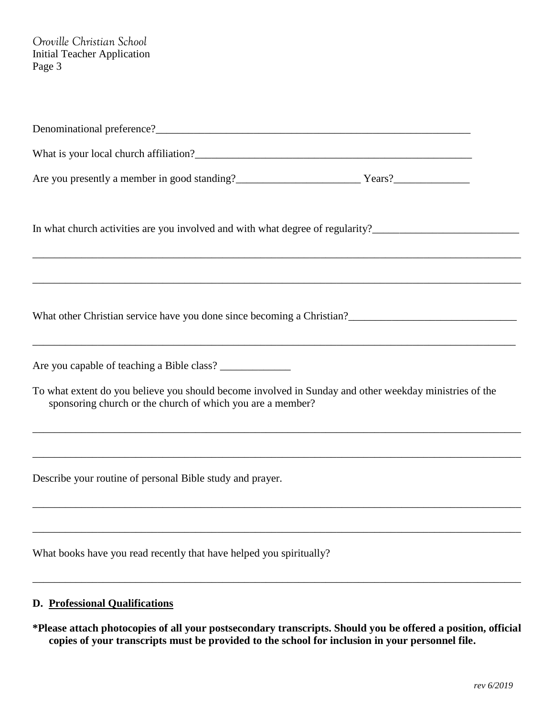| In what church activities are you involved and with what degree of regularity?________________________________                                                                                                                                                     |
|--------------------------------------------------------------------------------------------------------------------------------------------------------------------------------------------------------------------------------------------------------------------|
| What other Christian service have you done since becoming a Christian?<br><u>Lettian 2</u> and the christian service have you done since becoming a Christian?<br><u>Lettian 2</u> and the christian service have you done since becoming a                        |
|                                                                                                                                                                                                                                                                    |
| To what extent do you believe you should become involved in Sunday and other weekday ministries of the<br>sponsoring church or the church of which you are a member?<br>,我们也不能在这里的时候,我们也不能在这里的时候,我们也不能会在这里的时候,我们也不能会在这里的时候,我们也不能会在这里的时候,我们也不能会在这里的时候,我们也不          |
| ,我们也不能在这里的时候,我们也不能在这里的时候,我们也不能会在这里的时候,我们也不能会在这里的时候,我们也不能会在这里的时候,我们也不能会在这里的时候,我们也不<br>Describe your routine of personal Bible study and prayer.<br>and the control of the control of the control of the control of the control of the control of the control of the |
| What books have you read recently that have helped you spiritually?                                                                                                                                                                                                |
| <b>D.</b> Professional Qualifications                                                                                                                                                                                                                              |

**\*Please attach photocopies of all your postsecondary transcripts. Should you be offered a position, official copies of your transcripts must be provided to the school for inclusion in your personnel file.**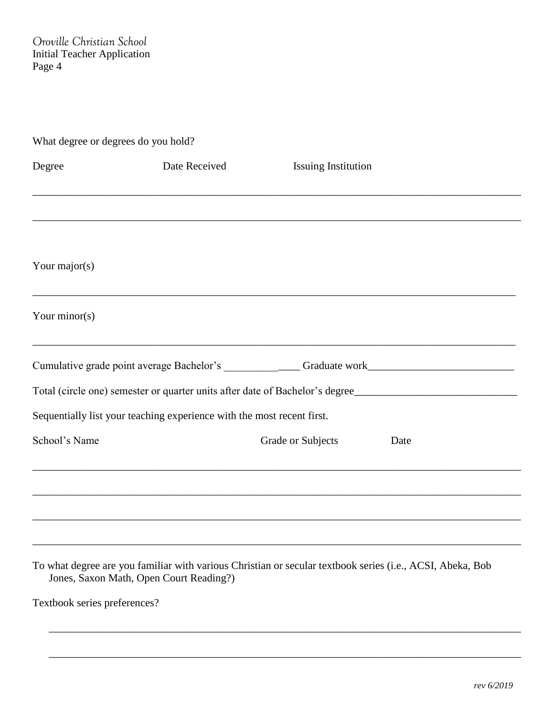| What degree or degrees do you hold? |                                                                        |                                                                                                           |      |  |  |
|-------------------------------------|------------------------------------------------------------------------|-----------------------------------------------------------------------------------------------------------|------|--|--|
| Degree                              | Date Received                                                          | <b>Issuing Institution</b>                                                                                |      |  |  |
|                                     |                                                                        |                                                                                                           |      |  |  |
| Your major( $s$ )                   |                                                                        |                                                                                                           |      |  |  |
| Your minor( $s$ )                   |                                                                        |                                                                                                           |      |  |  |
|                                     |                                                                        | Cumulative grade point average Bachelor's ________________Graduate work____________________________       |      |  |  |
|                                     |                                                                        | Total (circle one) semester or quarter units after date of Bachelor's degree                              |      |  |  |
|                                     | Sequentially list your teaching experience with the most recent first. |                                                                                                           |      |  |  |
| School's Name                       |                                                                        | Grade or Subjects                                                                                         | Date |  |  |
|                                     |                                                                        |                                                                                                           |      |  |  |
|                                     |                                                                        |                                                                                                           |      |  |  |
|                                     |                                                                        |                                                                                                           |      |  |  |
|                                     | Jones, Saxon Math, Open Court Reading?)                                | To what degree are you familiar with various Christian or secular textbook series (i.e., ACSI, Abeka, Bob |      |  |  |

\_\_\_\_\_\_\_\_\_\_\_\_\_\_\_\_\_\_\_\_\_\_\_\_\_\_\_\_\_\_\_\_\_\_\_\_\_\_\_\_\_\_\_\_\_\_\_\_\_\_\_\_\_\_\_\_\_\_\_\_\_\_\_\_\_\_\_\_\_\_\_\_\_\_\_\_\_\_\_\_\_\_\_\_\_\_\_

\_\_\_\_\_\_\_\_\_\_\_\_\_\_\_\_\_\_\_\_\_\_\_\_\_\_\_\_\_\_\_\_\_\_\_\_\_\_\_\_\_\_\_\_\_\_\_\_\_\_\_\_\_\_\_\_\_\_\_\_\_\_\_\_\_\_\_\_\_\_\_\_\_\_\_\_\_\_\_\_\_\_\_\_\_\_\_

Textbook series preferences?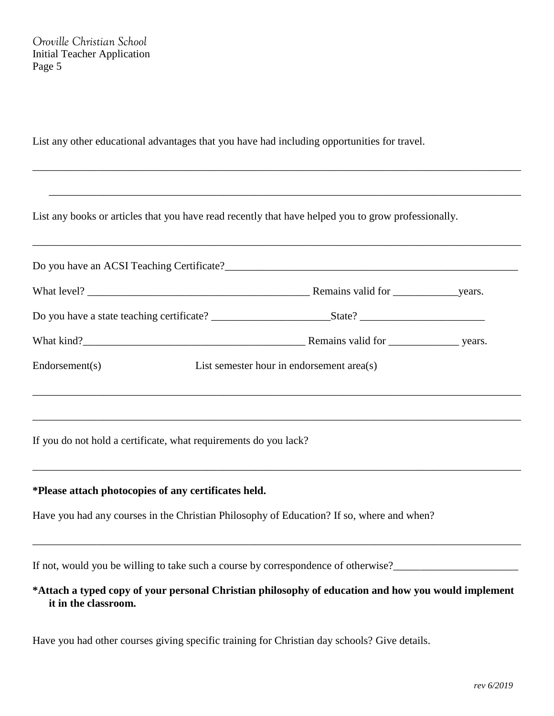List any other educational advantages that you have had including opportunities for travel.

List any books or articles that you have read recently that have helped you to grow professionally.

|                | Do you have an ACSI Teaching Certificate?        |  |  |
|----------------|--------------------------------------------------|--|--|
|                | Remains valid for vears.                         |  |  |
|                | Do you have a state teaching certificate? State? |  |  |
|                |                                                  |  |  |
| Endorsement(s) | List semester hour in endorsement area(s)        |  |  |
|                |                                                  |  |  |

\_\_\_\_\_\_\_\_\_\_\_\_\_\_\_\_\_\_\_\_\_\_\_\_\_\_\_\_\_\_\_\_\_\_\_\_\_\_\_\_\_\_\_\_\_\_\_\_\_\_\_\_\_\_\_\_\_\_\_\_\_\_\_\_\_\_\_\_\_\_\_\_\_\_\_\_\_\_\_\_\_\_\_\_\_\_\_\_\_\_

\_\_\_\_\_\_\_\_\_\_\_\_\_\_\_\_\_\_\_\_\_\_\_\_\_\_\_\_\_\_\_\_\_\_\_\_\_\_\_\_\_\_\_\_\_\_\_\_\_\_\_\_\_\_\_\_\_\_\_\_\_\_\_\_\_\_\_\_\_\_\_\_\_\_\_\_\_\_\_\_\_\_\_\_\_\_\_\_\_\_

\_\_\_\_\_\_\_\_\_\_\_\_\_\_\_\_\_\_\_\_\_\_\_\_\_\_\_\_\_\_\_\_\_\_\_\_\_\_\_\_\_\_\_\_\_\_\_\_\_\_\_\_\_\_\_\_\_\_\_\_\_\_\_\_\_\_\_\_\_\_\_\_\_\_\_\_\_\_\_\_\_\_\_\_\_\_\_\_\_\_

\_\_\_\_\_\_\_\_\_\_\_\_\_\_\_\_\_\_\_\_\_\_\_\_\_\_\_\_\_\_\_\_\_\_\_\_\_\_\_\_\_\_\_\_\_\_\_\_\_\_\_\_\_\_\_\_\_\_\_\_\_\_\_\_\_\_\_\_\_\_\_\_\_\_\_\_\_\_\_\_\_\_\_\_\_\_\_\_\_\_

\_\_\_\_\_\_\_\_\_\_\_\_\_\_\_\_\_\_\_\_\_\_\_\_\_\_\_\_\_\_\_\_\_\_\_\_\_\_\_\_\_\_\_\_\_\_\_\_\_\_\_\_\_\_\_\_\_\_\_\_\_\_\_\_\_\_\_\_\_\_\_\_\_\_\_\_\_\_\_\_\_\_\_\_\_\_\_

If you do not hold a certificate, what requirements do you lack?

#### **\*Please attach photocopies of any certificates held.**

Have you had any courses in the Christian Philosophy of Education? If so, where and when?

If not, would you be willing to take such a course by correspondence of otherwise?

### **\*Attach a typed copy of your personal Christian philosophy of education and how you would implement it in the classroom.**

\_\_\_\_\_\_\_\_\_\_\_\_\_\_\_\_\_\_\_\_\_\_\_\_\_\_\_\_\_\_\_\_\_\_\_\_\_\_\_\_\_\_\_\_\_\_\_\_\_\_\_\_\_\_\_\_\_\_\_\_\_\_\_\_\_\_\_\_\_\_\_\_\_\_\_\_\_\_\_\_\_\_\_\_\_\_\_\_\_\_

Have you had other courses giving specific training for Christian day schools? Give details.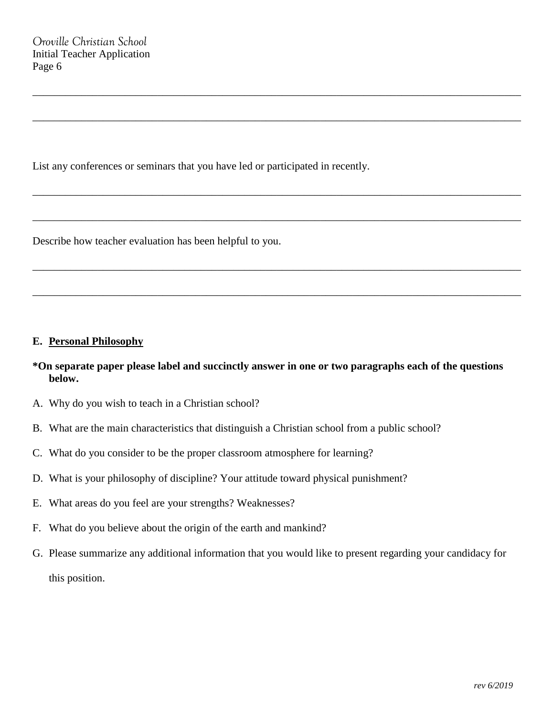List any conferences or seminars that you have led or participated in recently.

Describe how teacher evaluation has been helpful to you.

#### **E. Personal Philosophy**

## **\*On separate paper please label and succinctly answer in one or two paragraphs each of the questions below.**

\_\_\_\_\_\_\_\_\_\_\_\_\_\_\_\_\_\_\_\_\_\_\_\_\_\_\_\_\_\_\_\_\_\_\_\_\_\_\_\_\_\_\_\_\_\_\_\_\_\_\_\_\_\_\_\_\_\_\_\_\_\_\_\_\_\_\_\_\_\_\_\_\_\_\_\_\_\_\_\_\_\_\_\_\_\_\_\_\_\_

\_\_\_\_\_\_\_\_\_\_\_\_\_\_\_\_\_\_\_\_\_\_\_\_\_\_\_\_\_\_\_\_\_\_\_\_\_\_\_\_\_\_\_\_\_\_\_\_\_\_\_\_\_\_\_\_\_\_\_\_\_\_\_\_\_\_\_\_\_\_\_\_\_\_\_\_\_\_\_\_\_\_\_\_\_\_\_\_\_\_

\_\_\_\_\_\_\_\_\_\_\_\_\_\_\_\_\_\_\_\_\_\_\_\_\_\_\_\_\_\_\_\_\_\_\_\_\_\_\_\_\_\_\_\_\_\_\_\_\_\_\_\_\_\_\_\_\_\_\_\_\_\_\_\_\_\_\_\_\_\_\_\_\_\_\_\_\_\_\_\_\_\_\_\_\_\_\_\_\_\_

\_\_\_\_\_\_\_\_\_\_\_\_\_\_\_\_\_\_\_\_\_\_\_\_\_\_\_\_\_\_\_\_\_\_\_\_\_\_\_\_\_\_\_\_\_\_\_\_\_\_\_\_\_\_\_\_\_\_\_\_\_\_\_\_\_\_\_\_\_\_\_\_\_\_\_\_\_\_\_\_\_\_\_\_\_\_\_\_\_\_

\_\_\_\_\_\_\_\_\_\_\_\_\_\_\_\_\_\_\_\_\_\_\_\_\_\_\_\_\_\_\_\_\_\_\_\_\_\_\_\_\_\_\_\_\_\_\_\_\_\_\_\_\_\_\_\_\_\_\_\_\_\_\_\_\_\_\_\_\_\_\_\_\_\_\_\_\_\_\_\_\_\_\_\_\_\_\_\_\_\_

\_\_\_\_\_\_\_\_\_\_\_\_\_\_\_\_\_\_\_\_\_\_\_\_\_\_\_\_\_\_\_\_\_\_\_\_\_\_\_\_\_\_\_\_\_\_\_\_\_\_\_\_\_\_\_\_\_\_\_\_\_\_\_\_\_\_\_\_\_\_\_\_\_\_\_\_\_\_\_\_\_\_\_\_\_\_\_\_\_\_

- A. Why do you wish to teach in a Christian school?
- B. What are the main characteristics that distinguish a Christian school from a public school?
- C. What do you consider to be the proper classroom atmosphere for learning?
- D. What is your philosophy of discipline? Your attitude toward physical punishment?
- E. What areas do you feel are your strengths? Weaknesses?
- F. What do you believe about the origin of the earth and mankind?
- G. Please summarize any additional information that you would like to present regarding your candidacy for this position.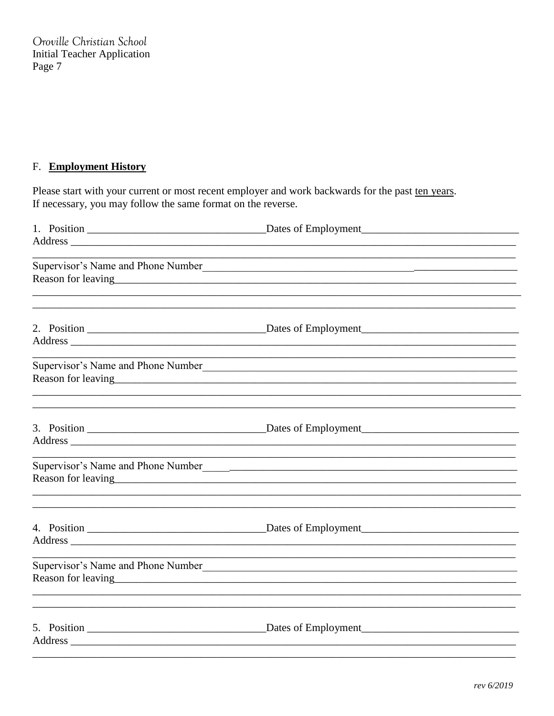# F. Employment History

Please start with your current or most recent employer and work backwards for the past ten years. If necessary, you may follow the same format on the reverse.

| Supervisor's Name and Phone Number                                                                                                                                                                                                                                  |
|---------------------------------------------------------------------------------------------------------------------------------------------------------------------------------------------------------------------------------------------------------------------|
|                                                                                                                                                                                                                                                                     |
| Supervisor's Name and Phone Number                                                                                                                                                                                                                                  |
|                                                                                                                                                                                                                                                                     |
| Supervisor's Name and Phone Number                                                                                                                                                                                                                                  |
|                                                                                                                                                                                                                                                                     |
| Supervisor's Name and Phone Number<br>Reason for leaving example and the set of the set of the set of the set of the set of the set of the set of the set of the set of the set of the set of the set of the set of the set of the set of the set of the set of the |
|                                                                                                                                                                                                                                                                     |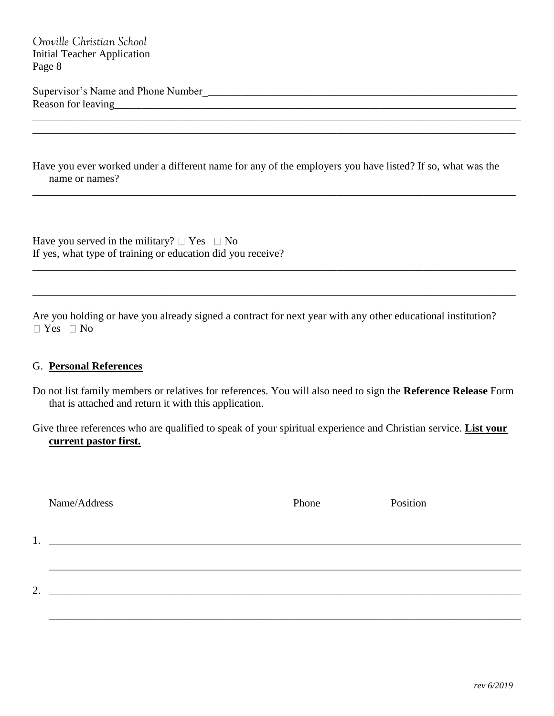Supervisor's Name and Phone Number\_\_\_\_\_\_\_\_\_\_\_\_\_\_\_\_\_\_\_\_\_\_\_\_\_\_\_\_\_\_\_\_\_\_\_\_\_\_\_\_\_\_\_\_\_\_\_\_\_\_\_\_\_\_\_\_\_\_ Reason for leaving

Have you ever worked under a different name for any of the employers you have listed? If so, what was the name or names?

\_\_\_\_\_\_\_\_\_\_\_\_\_\_\_\_\_\_\_\_\_\_\_\_\_\_\_\_\_\_\_\_\_\_\_\_\_\_\_\_\_\_\_\_\_\_\_\_\_\_\_\_\_\_\_\_\_\_\_\_\_\_\_\_\_\_\_\_\_\_\_\_\_\_\_\_\_\_\_\_\_\_\_\_\_\_\_\_\_

\_\_\_\_\_\_\_\_\_\_\_\_\_\_\_\_\_\_\_\_\_\_\_\_\_\_\_\_\_\_\_\_\_\_\_\_\_\_\_\_\_\_\_\_\_\_\_\_\_\_\_\_\_\_\_\_\_\_\_\_\_\_\_\_\_\_\_\_\_\_\_\_\_\_\_\_\_\_\_\_\_\_\_\_\_\_\_\_\_

\_\_\_\_\_\_\_\_\_\_\_\_\_\_\_\_\_\_\_\_\_\_\_\_\_\_\_\_\_\_\_\_\_\_\_\_\_\_\_\_\_\_\_\_\_\_\_\_\_\_\_\_\_\_\_\_\_\_\_\_\_\_\_\_\_\_\_\_\_\_\_\_\_\_\_\_\_\_\_\_\_\_\_\_\_\_\_\_\_

\_\_\_\_\_\_\_\_\_\_\_\_\_\_\_\_\_\_\_\_\_\_\_\_\_\_\_\_\_\_\_\_\_\_\_\_\_\_\_\_\_\_\_\_\_\_\_\_\_\_\_\_\_\_\_\_\_\_\_\_\_\_\_\_\_\_\_\_\_\_\_\_\_\_\_\_\_\_\_\_\_\_\_\_\_\_\_\_\_\_ \_\_\_\_\_\_\_\_\_\_\_\_\_\_\_\_\_\_\_\_\_\_\_\_\_\_\_\_\_\_\_\_\_\_\_\_\_\_\_\_\_\_\_\_\_\_\_\_\_\_\_\_\_\_\_\_\_\_\_\_\_\_\_\_\_\_\_\_\_\_\_\_\_\_\_\_\_\_\_\_\_\_\_\_\_\_\_\_\_

Have you served in the military?  $\Box$  Yes  $\Box$  No If yes, what type of training or education did you receive?

Are you holding or have you already signed a contract for next year with any other educational institution?  $\Box$  Yes  $\Box$  No

#### G. **Personal References**

- Do not list family members or relatives for references. You will also need to sign the **Reference Release** Form that is attached and return it with this application.
- Give three references who are qualified to speak of your spiritual experience and Christian service. **List your current pastor first.**

 $1.$   $\Box$ 

Name/Address Phone Position

 $\mathcal{L}_\mathcal{L} = \mathcal{L}_\mathcal{L} = \mathcal{L}_\mathcal{L} = \mathcal{L}_\mathcal{L} = \mathcal{L}_\mathcal{L} = \mathcal{L}_\mathcal{L} = \mathcal{L}_\mathcal{L} = \mathcal{L}_\mathcal{L} = \mathcal{L}_\mathcal{L} = \mathcal{L}_\mathcal{L} = \mathcal{L}_\mathcal{L} = \mathcal{L}_\mathcal{L} = \mathcal{L}_\mathcal{L} = \mathcal{L}_\mathcal{L} = \mathcal{L}_\mathcal{L} = \mathcal{L}_\mathcal{L} = \mathcal{L}_\mathcal{L}$ 

\_\_\_\_\_\_\_\_\_\_\_\_\_\_\_\_\_\_\_\_\_\_\_\_\_\_\_\_\_\_\_\_\_\_\_\_\_\_\_\_\_\_\_\_\_\_\_\_\_\_\_\_\_\_\_\_\_\_\_\_\_\_\_\_\_\_\_\_\_\_\_\_\_\_\_\_\_\_\_\_\_\_\_\_\_\_\_

2. \_\_\_\_\_\_\_\_\_\_\_\_\_\_\_\_\_\_\_\_\_\_\_\_\_\_\_\_\_\_\_\_\_\_\_\_\_\_\_\_\_\_\_\_\_\_\_\_\_\_\_\_\_\_\_\_\_\_\_\_\_\_\_\_\_\_\_\_\_\_\_\_\_\_\_\_\_\_\_\_\_\_\_\_\_\_\_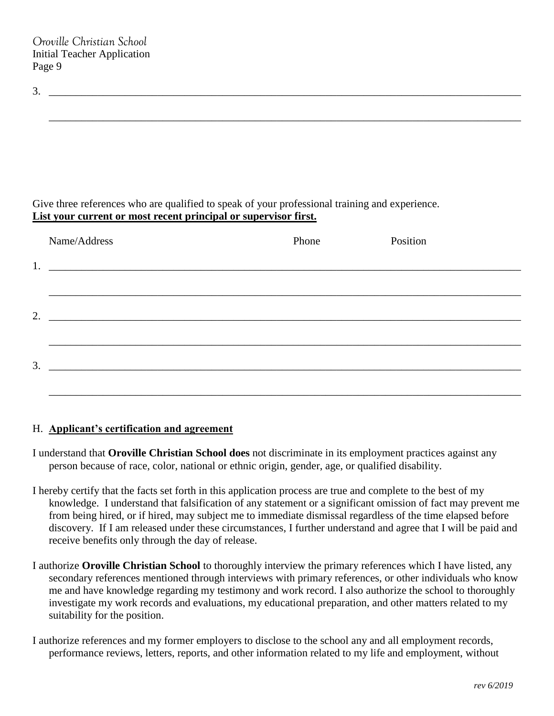| ້ |  |  |  |
|---|--|--|--|
|   |  |  |  |

\_\_\_\_\_\_\_\_\_\_\_\_\_\_\_\_\_\_\_\_\_\_\_\_\_\_\_\_\_\_\_\_\_\_\_\_\_\_\_\_\_\_\_\_\_\_\_\_\_\_\_\_\_\_\_\_\_\_\_\_\_\_\_\_\_\_\_\_\_\_\_\_\_\_\_\_\_\_\_\_\_\_\_\_\_\_\_

Give three references who are qualified to speak of your professional training and experience. **List your current or most recent principal or supervisor first.**

|    | Name/Address                                                                                                           | Phone | Position |
|----|------------------------------------------------------------------------------------------------------------------------|-------|----------|
| 1. | <u> 1989 - Jan Barat, prima matematika a prima matematika a prima matematika a prima matematika a prima matematik</u>  |       |          |
|    |                                                                                                                        |       |          |
| 2. | <u> 1980 - Andrea Andrews, amerikansk politik (d. 1980)</u>                                                            |       |          |
|    |                                                                                                                        |       |          |
| 3. | <u> 1989 - Johann Stoff, deutscher Stoffen und der Stoffen und der Stoffen und der Stoffen und der Stoffen und der</u> |       |          |
|    |                                                                                                                        |       |          |

#### H. **Applicant's certification and agreement**

- I understand that **Oroville Christian School does** not discriminate in its employment practices against any person because of race, color, national or ethnic origin, gender, age, or qualified disability.
- I hereby certify that the facts set forth in this application process are true and complete to the best of my knowledge. I understand that falsification of any statement or a significant omission of fact may prevent me from being hired, or if hired, may subject me to immediate dismissal regardless of the time elapsed before discovery. If I am released under these circumstances, I further understand and agree that I will be paid and receive benefits only through the day of release.
- I authorize **Oroville Christian School** to thoroughly interview the primary references which I have listed, any secondary references mentioned through interviews with primary references, or other individuals who know me and have knowledge regarding my testimony and work record. I also authorize the school to thoroughly investigate my work records and evaluations, my educational preparation, and other matters related to my suitability for the position.
- I authorize references and my former employers to disclose to the school any and all employment records, performance reviews, letters, reports, and other information related to my life and employment, without